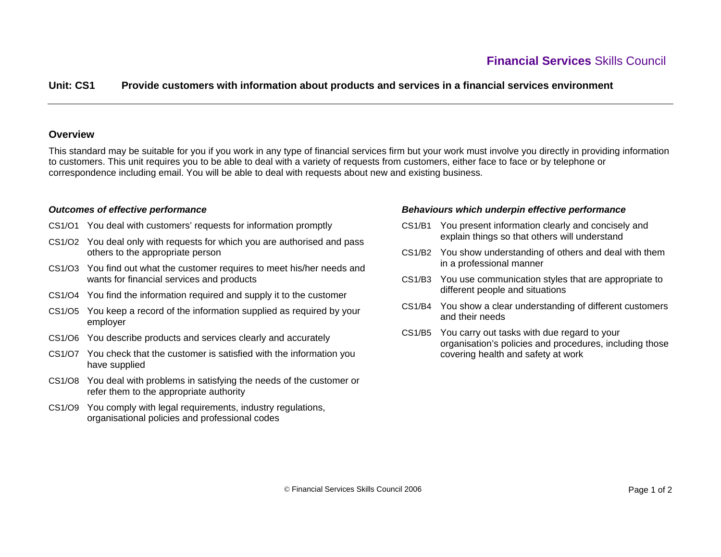# **Unit: CS1 Provide customers with information about products and services in a financial services environment**

### **Overview**

This standard may be suitable for you if you work in any type of financial services firm but your work must involve you directly in providing information to customers. This unit requires you to be able to deal with a variety of requests from customers, either face to face or by telephone or correspondence including email. You will be able to deal with requests about new and existing business.

#### *Outcomes of effective performance*

- CS1/O1 You deal with customers' requests for information promptly
- CS1/O2 You deal only with requests for which you are authorised and pass others to the appropriate person
- CS1/O3 You find out what the customer requires to meet his/her needs and wants for financial services and products
- CS1/O4 You find the information required and supply it to the customer
- CS1/O5 You keep a record of the information supplied as required by your employer
- CS1/O6 You describe products and services clearly and accurately
- CS1/O7 You check that the customer is satisfied with the information you have supplied
- CS1/O8 You deal with problems in satisfying the needs of the customer or refer them to the appropriate authority
- CS1/O9 You comply with legal requirements, industry regulations, organisational policies and professional codes

#### *Behaviours which underpin effective performance*

- CS1/B1 You present information clearly and concisely and explain things so that others will understand
- CS1/B2 You show understanding of others and deal with them in a professional manner
- CS1/B3 You use communication styles that are appropriate to different people and situations
- CS1/B4 You show a clear understanding of different customers and their needs
- CS1/B5 You carry out tasks with due regard to your organisation's policies and procedures, including those covering health and safety at work